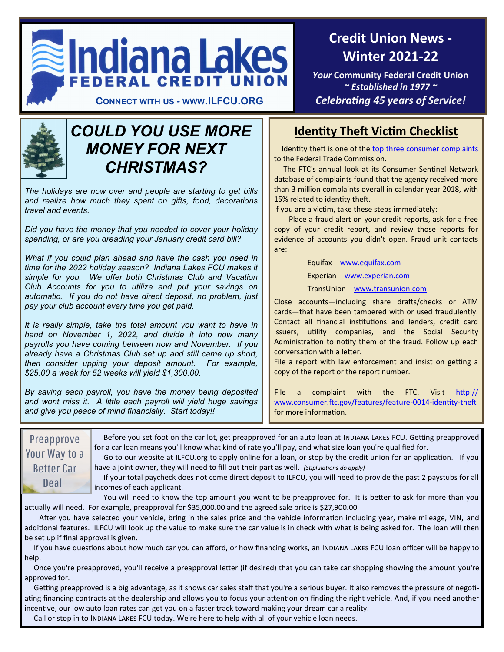

**Credit Union News - Winter 2021-22** 

*Your* **Community Federal Credit Union**  *~ Established in 1977 ~* **CONNECT WITH US - WWW.ILFCU.ORG** *Celebrating 45 years of Service!*



# *COULD YOU USE MORE MONEY FOR NEXT CHRISTMAS?*

*The holidays are now over and people are starting to get bills and realize how much they spent on gifts, food, decorations travel and events.* 

*Did you have the money that you needed to cover your holiday spending, or are you dreading your January credit card bill?* 

*What if you could plan ahead and have the cash you need in time for the 2022 holiday season? Indiana Lakes FCU makes it simple for you. We offer both Christmas Club and Vacation Club Accounts for you to utilize and put your savings on automatic. If you do not have direct deposit, no problem, just pay your club account every time you get paid.*

*It is really simple, take the total amount you want to have in hand on November 1, 2022, and divide it into how many payrolls you have coming between now and November. If you already have a Christmas Club set up and still came up short, then consider upping your deposit amount. For example, \$25.00 a week for 52 weeks will yield \$1,300.00.*

*By saving each payroll, you have the money being deposited and wont miss it. A little each payroll will yield huge savings and give you peace of mind financially. Start today!!*

# **Identity Theft Victim Checklist**

 Identity theft is one of the [top three consumer complaints](https://www.ftc.gov/news-events/press-releases/2019/02/imposter-scams-top-complaints-made-ftc-2018) to the Federal Trade Commission.

 The FTC's annual look at its Consumer Sentinel Network database of complaints found that the agency received more than 3 million complaints overall in calendar year 2018, with 15% related to identity theft.

If you are a victim, take these steps immediately:

Place a fraud alert on your credit reports, ask for a free copy of your credit report, and review those reports for evidence of accounts you didn't open. Fraud unit contacts are:

Equifax - [www.equifax.com](http://www.equifax.com)

Experian - [www.experian.com](http://www.experian.com)

TransUnion - [www.transunion.com](http://www.transunion.com)

Close accounts—including share drafts/checks or ATM cards—that have been tampered with or used fraudulently. Contact all financial institutions and lenders, credit card issuers, utility companies, and the Social Security Administration to notify them of the fraud. Follow up each conversation with a letter.

File a report with law enforcement and insist on getting a copy of the report or the report number.

File a complaint with the FTC. Visit [http://](http://www.consumer.ftc.gov/features/feature-0014-identity-theft) [www.consumer.ftc.gov/features/feature](http://www.consumer.ftc.gov/features/feature-0014-identity-theft)-0014-identity-theft for more information.

 Before you set foot on the car lot, get preapproved for an auto loan at Indiana Lakes FCU. Getting preapproved **Preapprove** for a car loan means you'll know what kind of rate you'll pay, and what size loan you're qualified for. Your Way to a Go to our website at *ILFCU.org* to apply online for a loan, or stop by the credit union for an application. If you **Better Car** have a joint owner, they will need to fill out their part as well. *(Stiplulations do apply)* If your total paycheck does not come direct deposit to ILFCU, you will need to provide the past 2 paystubs for all Deal incomes of each applicant.

You will need to know the top amount you want to be preapproved for. It is better to ask for more than you actually will need. For example, preapproval for \$35,000.00 and the agreed sale price is \$27,900.00

After you have selected your vehicle, bring in the sales price and the vehicle information including year, make mileage, VIN, and additional features. ILFCU will look up the value to make sure the car value is in check with what is being asked for. The loan will then be set up if final approval is given.

If you have questions about how much car you can afford, or how financing works, an INDIANA LAKES FCU loan officer will be happy to help.

 Once you're preapproved, you'll receive a preapproval letter (if desired) that you can take car shopping showing the amount you're approved for.

 Getting preapproved is a big advantage, as it shows car sales staff that you're a serious buyer. It also removes the pressure of negotiating financing contracts at the dealership and allows you to focus your attention on finding the right vehicle. And, if you need another incentive, our low auto loan rates can get you on a faster track toward making your dream car a reality.

Call or stop in to Indiana Lakes FCU today. We're here to help with all of your vehicle loan needs.